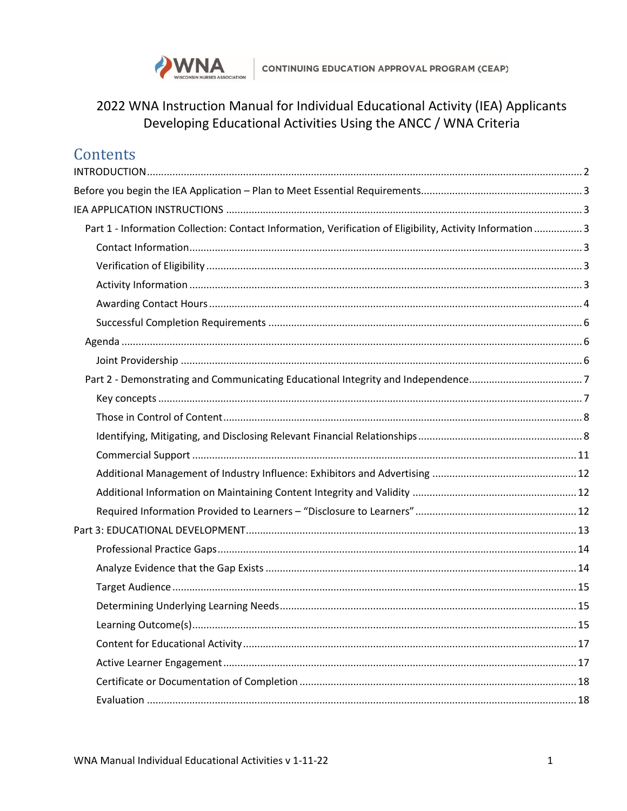

# 2022 WNA Instruction Manual for Individual Educational Activity (IEA) Applicants Developing Educational Activities Using the ANCC / WNA Criteria

| Contents                                                                                                   |  |
|------------------------------------------------------------------------------------------------------------|--|
|                                                                                                            |  |
|                                                                                                            |  |
|                                                                                                            |  |
| Part 1 - Information Collection: Contact Information, Verification of Eligibility, Activity Information  3 |  |
|                                                                                                            |  |
|                                                                                                            |  |
|                                                                                                            |  |
|                                                                                                            |  |
|                                                                                                            |  |
|                                                                                                            |  |
|                                                                                                            |  |
|                                                                                                            |  |
|                                                                                                            |  |
|                                                                                                            |  |
|                                                                                                            |  |
|                                                                                                            |  |
|                                                                                                            |  |
|                                                                                                            |  |
|                                                                                                            |  |
|                                                                                                            |  |
|                                                                                                            |  |
|                                                                                                            |  |
|                                                                                                            |  |
|                                                                                                            |  |
|                                                                                                            |  |
|                                                                                                            |  |
|                                                                                                            |  |
|                                                                                                            |  |
|                                                                                                            |  |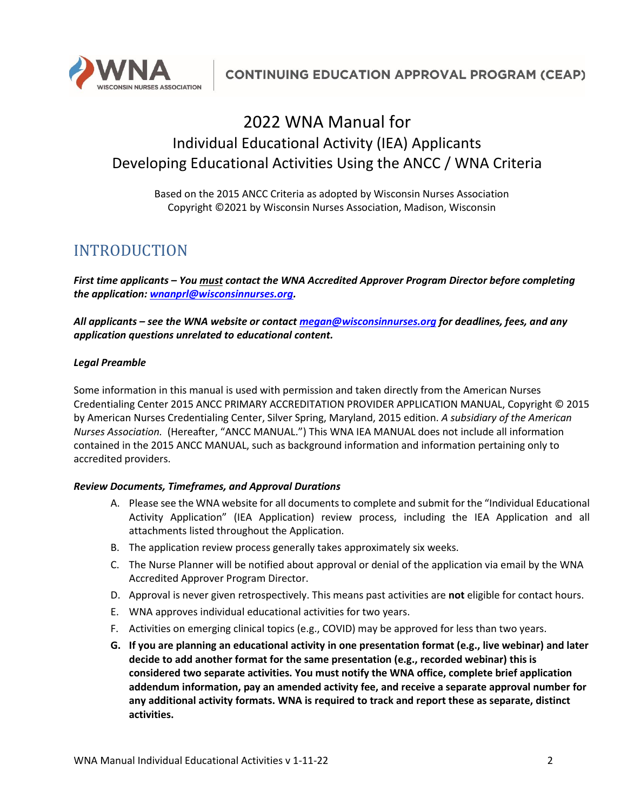

# 2022 WNA Manual for Individual Educational Activity (IEA) Applicants Developing Educational Activities Using the ANCC / WNA Criteria

Based on the 2015 ANCC Criteria as adopted by Wisconsin Nurses Association Copyright ©2021 by Wisconsin Nurses Association, Madison, Wisconsin

# <span id="page-1-0"></span>INTRODUCTION

*First time applicants – You must contact the WNA Accredited Approver Program Director before completing the application: [wnanprl@wisconsinnurses.org.](mailto:wnanprl@wisconsinnurses.org)* 

*All applicants – see the WNA website or contac[t megan@wisconsinnurses.org](mailto:megan@wisconsinnurses.org) for deadlines, fees, and any application questions unrelated to educational content.*

#### *Legal Preamble*

Some information in this manual is used with permission and taken directly from the American Nurses Credentialing Center 2015 ANCC PRIMARY ACCREDITATION PROVIDER APPLICATION MANUAL, Copyright © 2015 by American Nurses Credentialing Center, Silver Spring, Maryland, 2015 edition. *A subsidiary of the American Nurses Association.* (Hereafter, "ANCC MANUAL.") This WNA IEA MANUAL does not include all information contained in the 2015 ANCC MANUAL, such as background information and information pertaining only to accredited providers.

#### *Review Documents, Timeframes, and Approval Durations*

- A. Please see the WNA website for all documents to complete and submit for the "Individual Educational Activity Application" (IEA Application) review process, including the IEA Application and all attachments listed throughout the Application.
- B. The application review process generally takes approximately six weeks.
- C. The Nurse Planner will be notified about approval or denial of the application via email by the WNA Accredited Approver Program Director.
- D. Approval is never given retrospectively. This means past activities are **not** eligible for contact hours.
- E. WNA approves individual educational activities for two years.
- F. Activities on emerging clinical topics (e.g., COVID) may be approved for less than two years.
- **G. If you are planning an educational activity in one presentation format (e.g., live webinar) and later decide to add another format for the same presentation (e.g., recorded webinar) this is considered two separate activities. You must notify the WNA office, complete brief application addendum information, pay an amended activity fee, and receive a separate approval number for any additional activity formats. WNA is required to track and report these as separate, distinct activities.**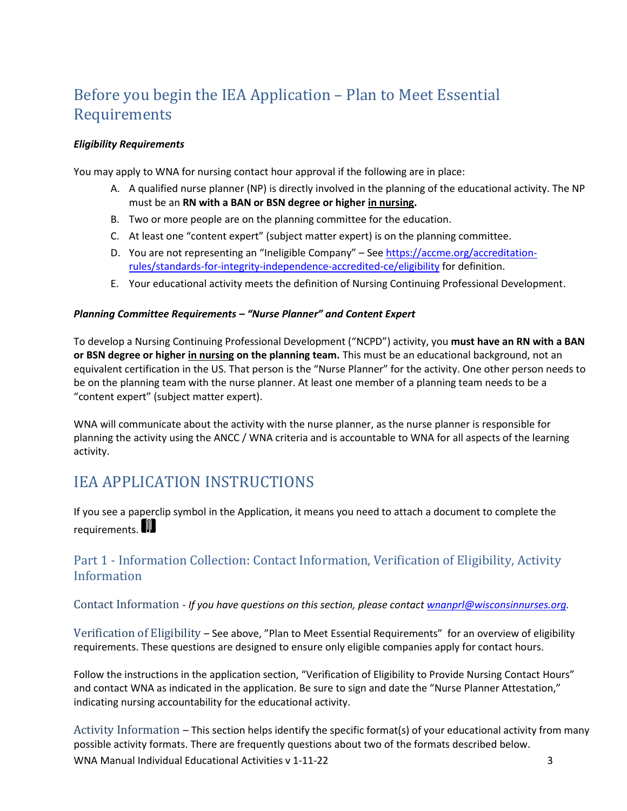# <span id="page-2-0"></span>Before you begin the IEA Application – Plan to Meet Essential Requirements

#### *Eligibility Requirements*

You may apply to WNA for nursing contact hour approval if the following are in place:

- A. A qualified nurse planner (NP) is directly involved in the planning of the educational activity. The NP must be an **RN with a BAN or BSN degree or higher in nursing.**
- B. Two or more people are on the planning committee for the education.
- C. At least one "content expert" (subject matter expert) is on the planning committee.
- D. You are not representing an "Ineligible Company" See [https://accme.org/accreditation](https://accme.org/accreditation-rules/standards-for-integrity-independence-accredited-ce/eligibility)[rules/standards-for-integrity-independence-accredited-ce/eligibility](https://accme.org/accreditation-rules/standards-for-integrity-independence-accredited-ce/eligibility) for definition.
- E. Your educational activity meets the definition of Nursing Continuing Professional Development.

#### *Planning Committee Requirements – "Nurse Planner" and Content Expert*

To develop a Nursing Continuing Professional Development ("NCPD") activity, you **must have an RN with a BAN or BSN degree or higher in nursing on the planning team.** This must be an educational background, not an equivalent certification in the US. That person is the "Nurse Planner" for the activity. One other person needs to be on the planning team with the nurse planner. At least one member of a planning team needs to be a "content expert" (subject matter expert).

WNA will communicate about the activity with the nurse planner, as the nurse planner is responsible for planning the activity using the ANCC / WNA criteria and is accountable to WNA for all aspects of the learning activity.

# <span id="page-2-1"></span>IEA APPLICATION INSTRUCTIONS

If you see a paperclip symbol in the Application, it means you need to attach a document to complete the requirements.

# <span id="page-2-2"></span>Part 1 - Information Collection: Contact Information, Verification of Eligibility, Activity Information

<span id="page-2-3"></span>Contact Information *- If you have questions on this section, please contac[t wnanprl@wisconsinnurses.org.](mailto:wnanprl@wisconsinnurses.org)* 

<span id="page-2-4"></span>Verification of Eligibility – See above, "Plan to Meet Essential Requirements" for an overview of eligibility requirements. These questions are designed to ensure only eligible companies apply for contact hours.

Follow the instructions in the application section, "Verification of Eligibility to Provide Nursing Contact Hours" and contact WNA as indicated in the application. Be sure to sign and date the "Nurse Planner Attestation," indicating nursing accountability for the educational activity.

<span id="page-2-5"></span>WNA Manual Individual Educational Activities v 1-11-22 3 Activity Information – This section helps identify the specific format(s) of your educational activity from many possible activity formats. There are frequently questions about two of the formats described below.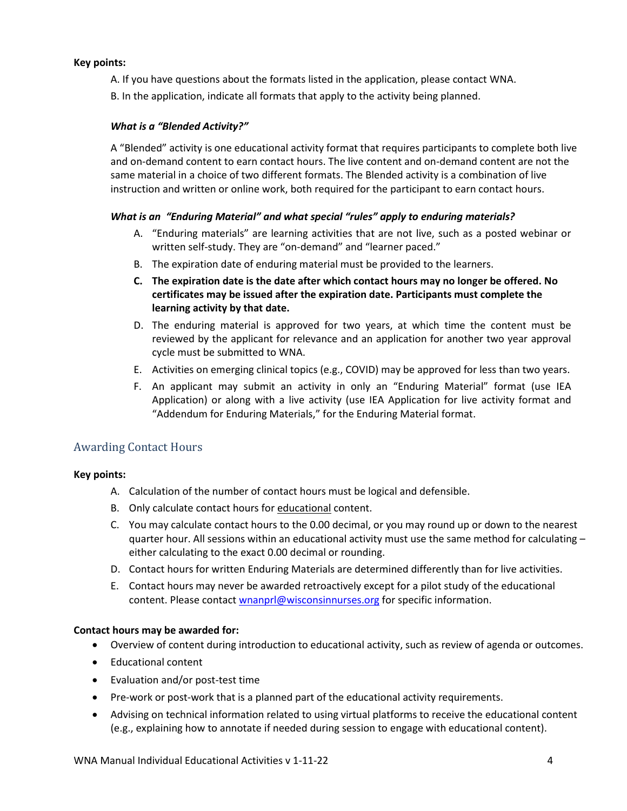#### **Key points:**

A. If you have questions about the formats listed in the application, please contact WNA.

B. In the application, indicate all formats that apply to the activity being planned.

## *What is a "Blended Activity?"*

A "Blended" activity is one educational activity format that requires participants to complete both live and on-demand content to earn contact hours. The live content and on-demand content are not the same material in a choice of two different formats. The Blended activity is a combination of live instruction and written or online work, both required for the participant to earn contact hours.

### *What is an "Enduring Material" and what special "rules" apply to enduring materials?*

- A. "Enduring materials" are learning activities that are not live, such as a posted webinar or written self-study. They are "on-demand" and "learner paced."
- B. The expiration date of enduring material must be provided to the learners.
- **C. The expiration date is the date after which contact hours may no longer be offered. No certificates may be issued after the expiration date. Participants must complete the learning activity by that date.**
- D. The enduring material is approved for two years, at which time the content must be reviewed by the applicant for relevance and an application for another two year approval cycle must be submitted to WNA.
- E. Activities on emerging clinical topics (e.g., COVID) may be approved for less than two years.
- F. An applicant may submit an activity in only an "Enduring Material" format (use IEA Application) or along with a live activity (use IEA Application for live activity format and "Addendum for Enduring Materials," for the Enduring Material format.

# <span id="page-3-0"></span>Awarding Contact Hours

### **Key points:**

- A. Calculation of the number of contact hours must be logical and defensible.
- B. Only calculate contact hours for educational content.
- C. You may calculate contact hours to the 0.00 decimal, or you may round up or down to the nearest quarter hour. All sessions within an educational activity must use the same method for calculating either calculating to the exact 0.00 decimal or rounding.
- D. Contact hours for written Enduring Materials are determined differently than for live activities.
- E. Contact hours may never be awarded retroactively except for a pilot study of the educational content. Please contact [wnanprl@wisconsinnurses.org](mailto:wnanprl@wisconsinnurses.org) for specific information.

### **Contact hours may be awarded for:**

- Overview of content during introduction to educational activity, such as review of agenda or outcomes.
- Educational content
- Evaluation and/or post-test time
- Pre-work or post-work that is a planned part of the educational activity requirements.
- Advising on technical information related to using virtual platforms to receive the educational content (e.g., explaining how to annotate if needed during session to engage with educational content).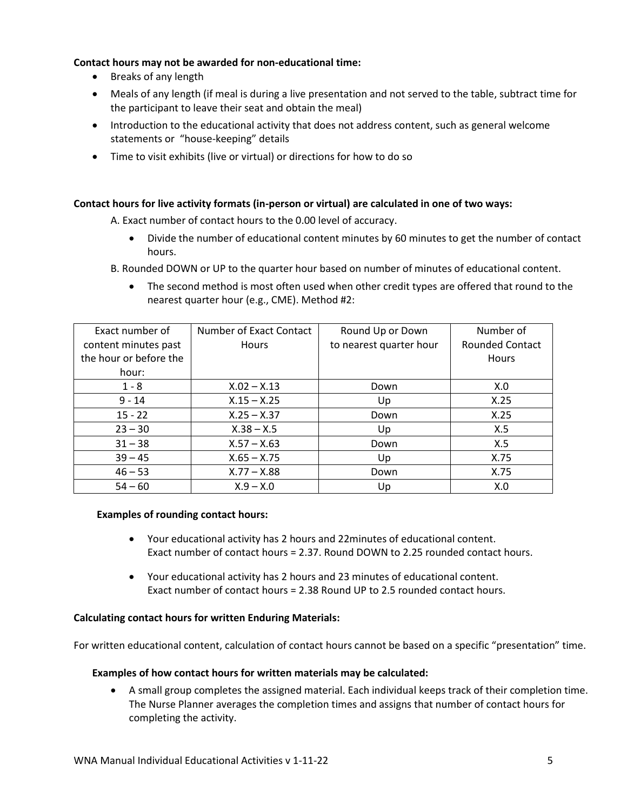#### **Contact hours may not be awarded for non-educational time:**

- Breaks of any length
- Meals of any length (if meal is during a live presentation and not served to the table, subtract time for the participant to leave their seat and obtain the meal)
- Introduction to the educational activity that does not address content, such as general welcome statements or "house-keeping" details
- Time to visit exhibits (live or virtual) or directions for how to do so

#### **Contact hours for live activity formats (in-person or virtual) are calculated in one of two ways:**

A. Exact number of contact hours to the 0.00 level of accuracy.

- Divide the number of educational content minutes by 60 minutes to get the number of contact hours.
- B. Rounded DOWN or UP to the quarter hour based on number of minutes of educational content.
	- The second method is most often used when other credit types are offered that round to the nearest quarter hour (e.g., CME). Method #2:

| Exact number of        | Number of Exact Contact | Round Up or Down        | Number of              |
|------------------------|-------------------------|-------------------------|------------------------|
| content minutes past   | <b>Hours</b>            | to nearest quarter hour | <b>Rounded Contact</b> |
| the hour or before the |                         |                         | <b>Hours</b>           |
| hour:                  |                         |                         |                        |
| $1 - 8$                | $X.02 - X.13$           | Down                    | X.0                    |
| $9 - 14$               | $X.15 - X.25$           | Up                      | X.25                   |
| $15 - 22$              | $X.25 - X.37$           | Down                    | X.25                   |
| $23 - 30$              | $X.38 - X.5$            | Up                      | X.5                    |
| $31 - 38$              | $X.57 - X.63$           | Down                    | X.5                    |
| $39 - 45$              | $X.65 - X.75$           | Up                      | X.75                   |
| $46 - 53$              | $X.77 - X.88$           | Down                    | X.75                   |
| $54 - 60$              | $X.9 - X.0$             | Up                      | X.0                    |

#### **Examples of rounding contact hours:**

- Your educational activity has 2 hours and 22minutes of educational content. Exact number of contact hours = 2.37. Round DOWN to 2.25 rounded contact hours.
- Your educational activity has 2 hours and 23 minutes of educational content. Exact number of contact hours = 2.38 Round UP to 2.5 rounded contact hours.

#### **Calculating contact hours for written Enduring Materials:**

For written educational content, calculation of contact hours cannot be based on a specific "presentation" time.

#### **Examples of how contact hours for written materials may be calculated:**

• A small group completes the assigned material. Each individual keeps track of their completion time. The Nurse Planner averages the completion times and assigns that number of contact hours for completing the activity.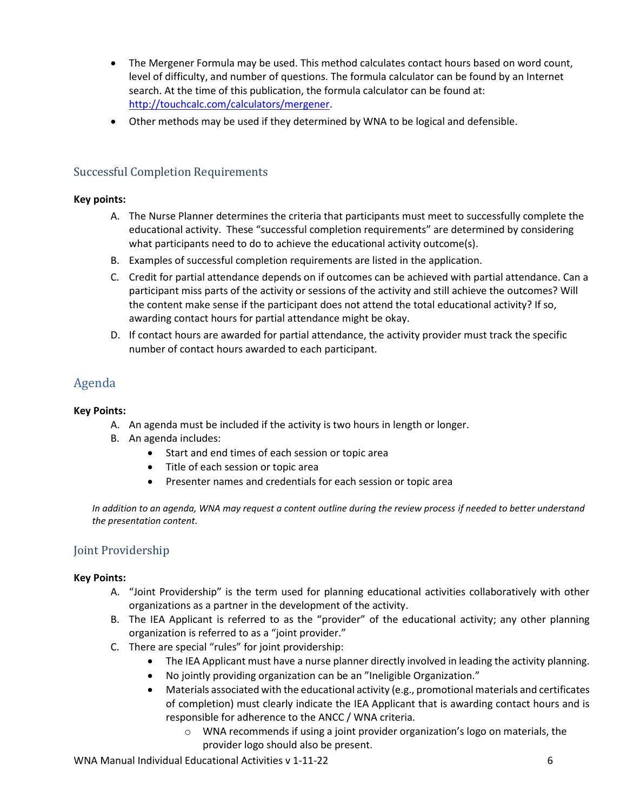- The Mergener Formula may be used. This method calculates contact hours based on word count, level of difficulty, and number of questions. The formula calculator can be found by an Internet search. At the time of this publication, the formula calculator can be found at: [http://touchcalc.com/calculators/mergener.](http://touchcalc.com/calculators/mergener)
- Other methods may be used if they determined by WNA to be logical and defensible.

# <span id="page-5-0"></span>Successful Completion Requirements

#### **Key points:**

- A. The Nurse Planner determines the criteria that participants must meet to successfully complete the educational activity. These "successful completion requirements" are determined by considering what participants need to do to achieve the educational activity outcome(s).
- B. Examples of successful completion requirements are listed in the application.
- C. Credit for partial attendance depends on if outcomes can be achieved with partial attendance. Can a participant miss parts of the activity or sessions of the activity and still achieve the outcomes? Will the content make sense if the participant does not attend the total educational activity? If so, awarding contact hours for partial attendance might be okay.
- D. If contact hours are awarded for partial attendance, the activity provider must track the specific number of contact hours awarded to each participant.

# <span id="page-5-1"></span>Agenda

#### **Key Points:**

- A. An agenda must be included if the activity is two hours in length or longer.
- B. An agenda includes:
	- Start and end times of each session or topic area
	- Title of each session or topic area
	- Presenter names and credentials for each session or topic area

*In addition to an agenda, WNA may request a content outline during the review process if needed to better understand the presentation content.* 

### <span id="page-5-2"></span>Joint Providership

#### **Key Points:**

- A. "Joint Providership" is the term used for planning educational activities collaboratively with other organizations as a partner in the development of the activity.
- B. The IEA Applicant is referred to as the "provider" of the educational activity; any other planning organization is referred to as a "joint provider."
- C. There are special "rules" for joint providership:
	- The IEA Applicant must have a nurse planner directly involved in leading the activity planning.
	- No jointly providing organization can be an "Ineligible Organization."
	- Materials associated with the educational activity (e.g., promotional materials and certificates of completion) must clearly indicate the IEA Applicant that is awarding contact hours and is responsible for adherence to the ANCC / WNA criteria.
		- o WNA recommends if using a joint provider organization's logo on materials, the provider logo should also be present.

WNA Manual Individual Educational Activities v 1-11-22 6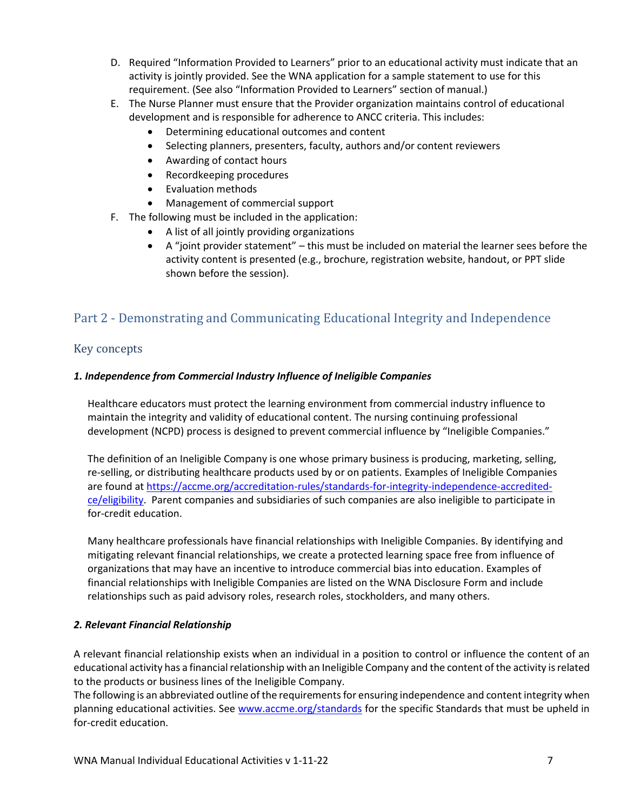- D. Required "Information Provided to Learners" prior to an educational activity must indicate that an activity is jointly provided. See the WNA application for a sample statement to use for this requirement. (See also "Information Provided to Learners" section of manual.)
- E. The Nurse Planner must ensure that the Provider organization maintains control of educational development and is responsible for adherence to ANCC criteria. This includes:
	- Determining educational outcomes and content
	- Selecting planners, presenters, faculty, authors and/or content reviewers
	- Awarding of contact hours
	- Recordkeeping procedures
	- Evaluation methods
	- Management of commercial support
- F. The following must be included in the application:
	- A list of all jointly providing organizations
	- A "joint provider statement" this must be included on material the learner sees before the activity content is presented (e.g., brochure, registration website, handout, or PPT slide shown before the session).

# <span id="page-6-0"></span>Part 2 - Demonstrating and Communicating Educational Integrity and Independence

## <span id="page-6-1"></span>Key concepts

#### *1. Independence from Commercial Industry Influence of Ineligible Companies*

Healthcare educators must protect the learning environment from commercial industry influence to maintain the integrity and validity of educational content. The nursing continuing professional development (NCPD) process is designed to prevent commercial influence by "Ineligible Companies."

The definition of an Ineligible Company is one whose primary business is producing, marketing, selling, re-selling, or distributing healthcare products used by or on patients. Examples of Ineligible Companies are found at [https://accme.org/accreditation-rules/standards-for-integrity-independence-accredited](https://accme.org/accreditation-rules/standards-for-integrity-independence-accredited-ce/eligibility)[ce/eligibility.](https://accme.org/accreditation-rules/standards-for-integrity-independence-accredited-ce/eligibility) Parent companies and subsidiaries of such companies are also ineligible to participate in for-credit education.

Many healthcare professionals have financial relationships with Ineligible Companies. By identifying and mitigating relevant financial relationships, we create a protected learning space free from influence of organizations that may have an incentive to introduce commercial bias into education. Examples of financial relationships with Ineligible Companies are listed on the WNA Disclosure Form and include relationships such as paid advisory roles, research roles, stockholders, and many others.

#### *2. Relevant Financial Relationship*

A relevant financial relationship exists when an individual in a position to control or influence the content of an educational activity has a financial relationship with an Ineligible Company and the content of the activity is related to the products or business lines of the Ineligible Company.

The following is an abbreviated outline of the requirements for ensuring independence and content integrity when planning educational activities. See [www.accme.org/standards](http://www.accme.org/standards) for the specific Standards that must be upheld in for-credit education.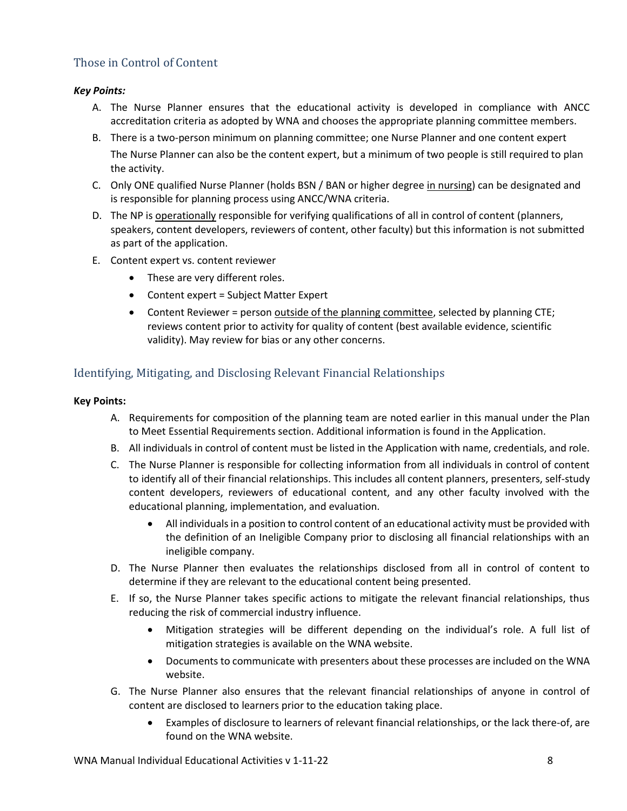# <span id="page-7-0"></span>Those in Control of Content

#### *Key Points:*

- A. The Nurse Planner ensures that the educational activity is developed in compliance with ANCC accreditation criteria as adopted by WNA and chooses the appropriate planning committee members.
- B. There is a two-person minimum on planning committee; one Nurse Planner and one content expert The Nurse Planner can also be the content expert, but a minimum of two people is still required to plan the activity.
- C. Only ONE qualified Nurse Planner (holds BSN / BAN or higher degree in nursing) can be designated and is responsible for planning process using ANCC/WNA criteria.
- D. The NP is operationally responsible for verifying qualifications of all in control of content (planners, speakers, content developers, reviewers of content, other faculty) but this information is not submitted as part of the application.
- E. Content expert vs. content reviewer
	- These are very different roles.
	- Content expert = Subject Matter Expert
	- Content Reviewer = person outside of the planning committee, selected by planning CTE; reviews content prior to activity for quality of content (best available evidence, scientific validity). May review for bias or any other concerns.

# <span id="page-7-1"></span>Identifying, Mitigating, and Disclosing Relevant Financial Relationships

- A. Requirements for composition of the planning team are noted earlier in this manual under the Plan to Meet Essential Requirements section. Additional information is found in the Application.
- B. All individuals in control of content must be listed in the Application with name, credentials, and role.
- C. The Nurse Planner is responsible for collecting information from all individuals in control of content to identify all of their financial relationships. This includes all content planners, presenters, self-study content developers, reviewers of educational content, and any other faculty involved with the educational planning, implementation, and evaluation.
	- All individuals in a position to control content of an educational activity must be provided with the definition of an Ineligible Company prior to disclosing all financial relationships with an ineligible company.
- D. The Nurse Planner then evaluates the relationships disclosed from all in control of content to determine if they are relevant to the educational content being presented.
- E. If so, the Nurse Planner takes specific actions to mitigate the relevant financial relationships, thus reducing the risk of commercial industry influence.
	- Mitigation strategies will be different depending on the individual's role. A full list of mitigation strategies is available on the WNA website.
	- Documents to communicate with presenters about these processes are included on the WNA website.
- G. The Nurse Planner also ensures that the relevant financial relationships of anyone in control of content are disclosed to learners prior to the education taking place.
	- Examples of disclosure to learners of relevant financial relationships, or the lack there-of, are found on the WNA website.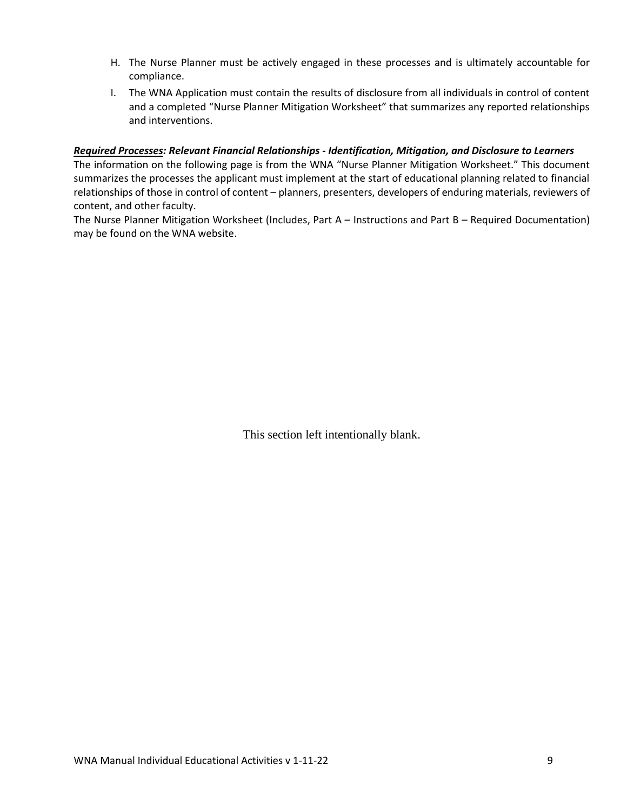- H. The Nurse Planner must be actively engaged in these processes and is ultimately accountable for compliance.
- I. The WNA Application must contain the results of disclosure from all individuals in control of content and a completed "Nurse Planner Mitigation Worksheet" that summarizes any reported relationships and interventions.

#### *Required Processes: Relevant Financial Relationships - Identification, Mitigation, and Disclosure to Learners*

The information on the following page is from the WNA "Nurse Planner Mitigation Worksheet." This document summarizes the processes the applicant must implement at the start of educational planning related to financial relationships of those in control of content – planners, presenters, developers of enduring materials, reviewers of content, and other faculty.

The Nurse Planner Mitigation Worksheet (Includes, Part A – Instructions and Part B – Required Documentation) may be found on the WNA website.

This section left intentionally blank.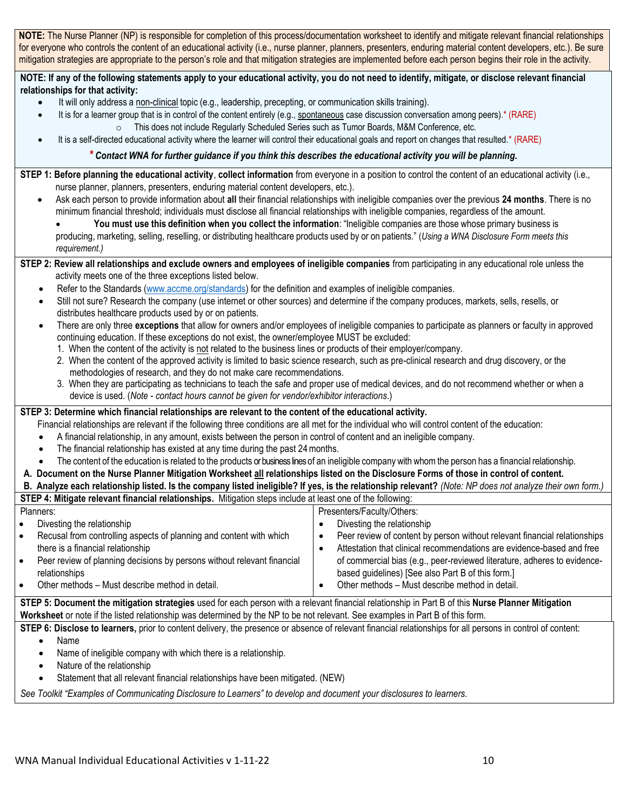**NOTE:** The Nurse Planner (NP) is responsible for completion of this process/documentation worksheet to identify and mitigate relevant financial relationships for everyone who controls the content of an educational activity (i.e., nurse planner, planners, presenters, enduring material content developers, etc.). Be sure mitigation strategies are appropriate to the person's role and that mitigation strategies are implemented before each person begins their role in the activity.

**NOTE: If any of the following statements apply to your educational activity, you do not need to identify, mitigate, or disclose relevant financial relationships for that activity:**

- It will only address a non-clinical topic (e.g., leadership, precepting, or communication skills training).
	- It is for a learner group that is in control of the content entirely (e.g., spontaneous case discussion conversation among peers).\* (RARE)  $\circ$  This does not include Regularly Scheduled Series such as Tumor Boards, M&M Conference, etc.
- It is a self-directed educational activity where the learner will control their educational goals and report on changes that resulted.\* (RARE)

#### *\* Contact WNA for further guidance if you think this describes the educational activity you will be planning.*

**STEP 1: Before planning the educational activity**, **collect information** from everyone in a position to control the content of an educational activity (i.e., nurse planner, planners, presenters, enduring material content developers, etc.).

• Ask each person to provide information about **all** their financial relationships with ineligible companies over the previous **24 months**. There is no minimum financial threshold; individuals must disclose all financial relationships with ineligible companies, regardless of the amount.

• **You must use this definition when you collect the information**: "Ineligible companies are those whose primary business is producing, marketing, selling, reselling, or distributing healthcare products used by or on patients." (*Using a WNA Disclosure Form meets this requirement.)*

#### **STEP 2: Review all relationships and exclude owners and employees of ineligible companies** from participating in any educational role unless the activity meets one of the three exceptions listed below.

- Refer to the Standards [\(www.accme.org/standards\)](http://www.accme.org/standards) for the definition and examples of ineligible companies.
- Still not sure? Research the company (use internet or other sources) and determine if the company produces, markets, sells, resells, or distributes healthcare products used by or on patients.
- There are only three **exceptions** that allow for owners and/or employees of ineligible companies to participate as planners or faculty in approved continuing education. If these exceptions do not exist, the owner/employee MUST be excluded:
	- 1. When the content of the activity is not related to the business lines or products of their employer/company.
	- 2. When the content of the approved activity is limited to basic science research, such as pre-clinical research and drug discovery, or the methodologies of research, and they do not make care recommendations.
	- 3. When they are participating as technicians to teach the safe and proper use of medical devices, and do not recommend whether or when a device is used. (*Note - contact hours cannot be given for vendor/exhibitor interactions*.)

#### **STEP 3: Determine which financial relationships are relevant to the content of the educational activity.**

Financial relationships are relevant if the following three conditions are all met for the individual who will control content of the education:

- A financial relationship, in any amount, exists between the person in control of content and an ineligible company.
- The financial relationship has existed at any time during the past 24 months.
- The content of the education is related to the products or business lines of an ineligible company with whom the person has a financial relationship.

### **A. Document on the Nurse Planner Mitigation Worksheet all relationships listed on the Disclosure Forms of those in control of content.**

|--|

| STEP 4: Mitigate relevant financial relationships. Mitigation steps include at least one of the following:                                        |                                                                                |  |
|---------------------------------------------------------------------------------------------------------------------------------------------------|--------------------------------------------------------------------------------|--|
| Presenters/Faculty/Others:<br>Planners:                                                                                                           |                                                                                |  |
| Divesting the relationship<br>$\bullet$                                                                                                           | Divesting the relationship                                                     |  |
| Recusal from controlling aspects of planning and content with which<br>$\bullet$                                                                  | Peer review of content by person without relevant financial relationships<br>٠ |  |
| there is a financial relationship                                                                                                                 | Attestation that clinical recommendations are evidence-based and free          |  |
| Peer review of planning decisions by persons without relevant financial<br>$\bullet$                                                              | of commercial bias (e.g., peer-reviewed literature, adheres to evidence-       |  |
| based guidelines) [See also Part B of this form.]<br>relationships                                                                                |                                                                                |  |
| Other methods – Must describe method in detail.<br>$\bullet$                                                                                      | Other methods - Must describe method in detail.                                |  |
| STEP 5: Document the mitigation strategies used for each person with a relevant financial relationship in Part B of this Nurse Planner Mitigation |                                                                                |  |
| Worksheet or note if the listed relationship was determined by the NP to be not relevant. See examples in Part B of this form.                    |                                                                                |  |

**STEP 6: Disclose to learners,** prior to content delivery, the presence or absence of relevant financial relationships for all persons in control of content:

- Name
- Name of ineligible company with which there is a relationship.
- Nature of the relationship
- Statement that all relevant financial relationships have been mitigated. (NEW)

*See Toolkit "Examples of Communicating Disclosure to Learners" to develop and document your disclosures to learners.*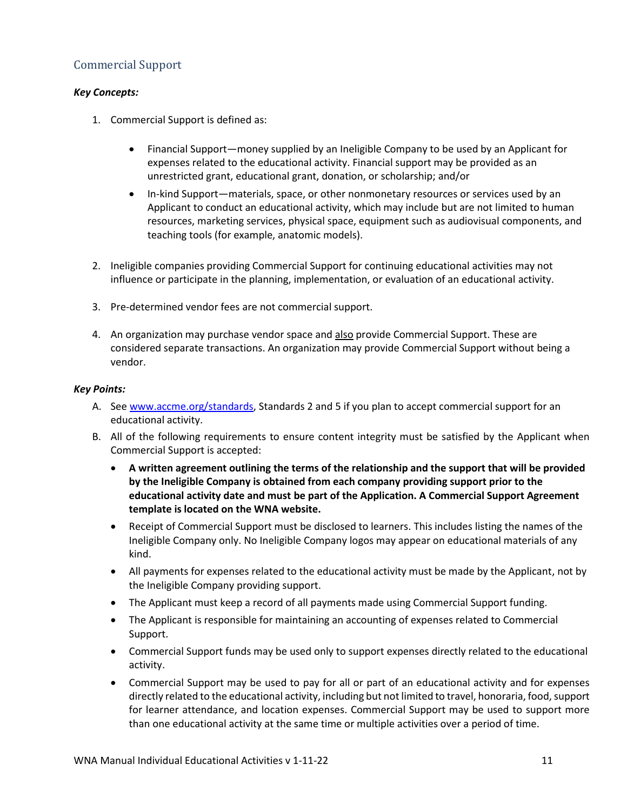# <span id="page-10-0"></span>Commercial Support

#### *Key Concepts:*

- 1. Commercial Support is defined as:
	- Financial Support—money supplied by an Ineligible Company to be used by an Applicant for expenses related to the educational activity. Financial support may be provided as an unrestricted grant, educational grant, donation, or scholarship; and/or
	- In-kind Support—materials, space, or other nonmonetary resources or services used by an Applicant to conduct an educational activity, which may include but are not limited to human resources, marketing services, physical space, equipment such as audiovisual components, and teaching tools (for example, anatomic models).
- 2. Ineligible companies providing Commercial Support for continuing educational activities may not influence or participate in the planning, implementation, or evaluation of an educational activity.
- 3. Pre-determined vendor fees are not commercial support.
- 4. An organization may purchase vendor space and also provide Commercial Support. These are considered separate transactions. An organization may provide Commercial Support without being a vendor.

- A. Se[e www.accme.org/standards,](http://www.accme.org/standards) Standards 2 and 5 if you plan to accept commercial support for an educational activity.
- B. All of the following requirements to ensure content integrity must be satisfied by the Applicant when Commercial Support is accepted:
	- **A written agreement outlining the terms of the relationship and the support that will be provided by the Ineligible Company is obtained from each company providing support prior to the educational activity date and must be part of the Application. A Commercial Support Agreement template is located on the WNA website.**
	- Receipt of Commercial Support must be disclosed to learners. This includes listing the names of the Ineligible Company only. No Ineligible Company logos may appear on educational materials of any kind.
	- All payments for expenses related to the educational activity must be made by the Applicant, not by the Ineligible Company providing support.
	- The Applicant must keep a record of all payments made using Commercial Support funding.
	- The Applicant is responsible for maintaining an accounting of expenses related to Commercial Support.
	- Commercial Support funds may be used only to support expenses directly related to the educational activity.
	- Commercial Support may be used to pay for all or part of an educational activity and for expenses directly related to the educational activity, including but not limited to travel, honoraria, food, support for learner attendance, and location expenses. Commercial Support may be used to support more than one educational activity at the same time or multiple activities over a period of time.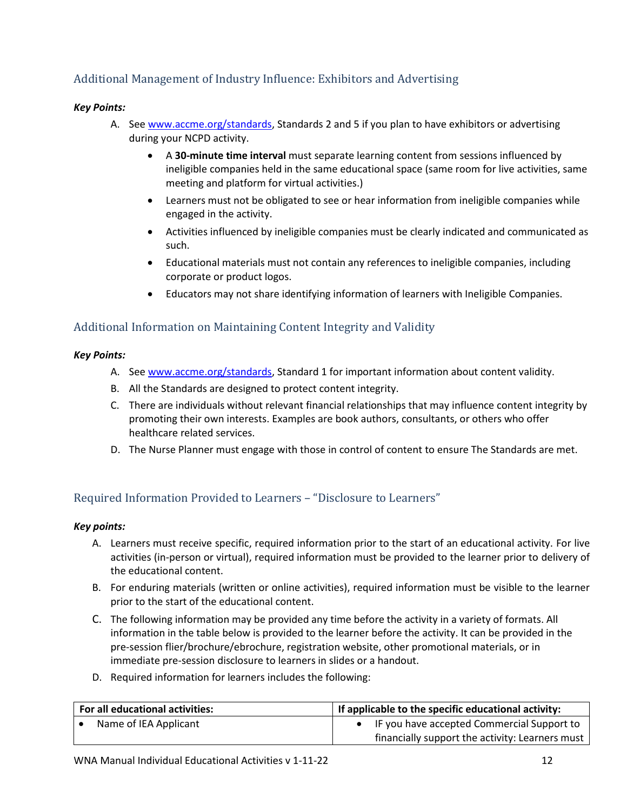# <span id="page-11-0"></span>Additional Management of Industry Influence: Exhibitors and Advertising

### *Key Points:*

- A. Se[e www.accme.org/standards,](http://www.accme.org/standards) Standards 2 and 5 if you plan to have exhibitors or advertising during your NCPD activity.
	- A **30-minute time interval** must separate learning content from sessions influenced by ineligible companies held in the same educational space (same room for live activities, same meeting and platform for virtual activities.)
	- Learners must not be obligated to see or hear information from ineligible companies while engaged in the activity.
	- Activities influenced by ineligible companies must be clearly indicated and communicated as such.
	- Educational materials must not contain any references to ineligible companies, including corporate or product logos.
	- Educators may not share identifying information of learners with Ineligible Companies.

## <span id="page-11-1"></span>Additional Information on Maintaining Content Integrity and Validity

#### *Key Points:*

- A. Se[e www.accme.org/standards,](http://www.accme.org/standards) Standard 1 for important information about content validity.
- B. All the Standards are designed to protect content integrity.
- C. There are individuals without relevant financial relationships that may influence content integrity by promoting their own interests. Examples are book authors, consultants, or others who offer healthcare related services.
- D. The Nurse Planner must engage with those in control of content to ensure The Standards are met.

# <span id="page-11-2"></span>Required Information Provided to Learners – "Disclosure to Learners"

- A. Learners must receive specific, required information prior to the start of an educational activity. For live activities (in-person or virtual), required information must be provided to the learner prior to delivery of the educational content.
- B. For enduring materials (written or online activities), required information must be visible to the learner prior to the start of the educational content.
- C. The following information may be provided any time before the activity in a variety of formats. All information in the table below is provided to the learner before the activity. It can be provided in the pre-session flier/brochure/ebrochure, registration website, other promotional materials, or in immediate pre-session disclosure to learners in slides or a handout.
- D. Required information for learners includes the following:

| For all educational activities: | If applicable to the specific educational activity: |
|---------------------------------|-----------------------------------------------------|
| Name of IEA Applicant           | IF you have accepted Commercial Support to          |
|                                 | financially support the activity: Learners must     |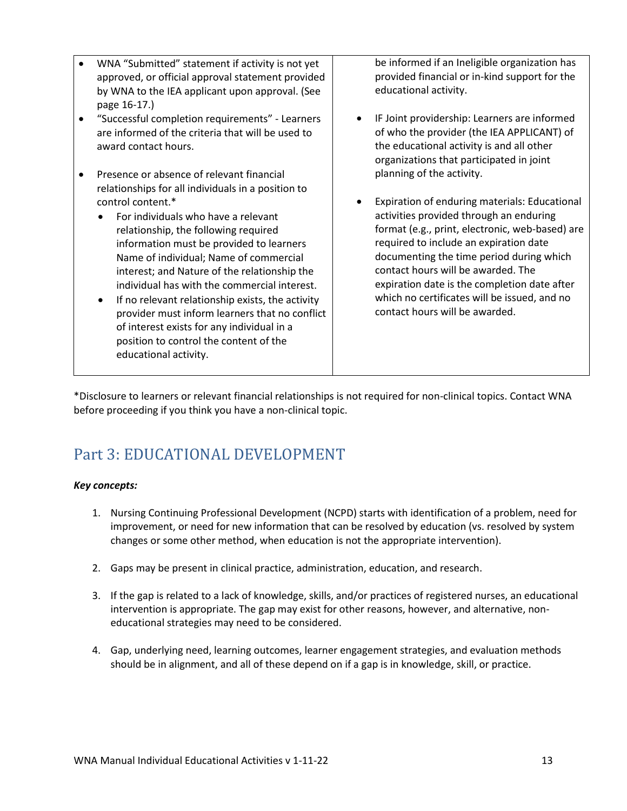- WNA "Submitted" statement if activity is not yet approved, or official approval statement provided by WNA to the IEA applicant upon approval. (See page 16-17.)
- "Successful completion requirements" Learners are informed of the criteria that will be used to award contact hours.
- Presence or absence of relevant financial relationships for all individuals in a position to control content.\*
	- For individuals who have a relevant relationship, the following required information must be provided to learners Name of individual; Name of commercial interest; and Nature of the relationship the individual has with the commercial interest.
	- If no relevant relationship exists, the activity provider must inform learners that no conflict of interest exists for any individual in a position to control the content of the educational activity.

be informed if an Ineligible organization has provided financial or in-kind support for the educational activity.

- IF Joint providership: Learners are informed of who the provider (the IEA APPLICANT) of the educational activity is and all other organizations that participated in joint planning of the activity.
- Expiration of enduring materials: Educational activities provided through an enduring format (e.g., print, electronic, web-based) are required to include an expiration date documenting the time period during which contact hours will be awarded. The expiration date is the completion date after which no certificates will be issued, and no contact hours will be awarded.

\*Disclosure to learners or relevant financial relationships is not required for non-clinical topics. Contact WNA before proceeding if you think you have a non-clinical topic.

# <span id="page-12-0"></span>Part 3: EDUCATIONAL DEVELOPMENT

### *Key concepts:*

- 1. Nursing Continuing Professional Development (NCPD) starts with identification of a problem, need for improvement, or need for new information that can be resolved by education (vs. resolved by system changes or some other method, when education is not the appropriate intervention).
- 2. Gaps may be present in clinical practice, administration, education, and research.
- 3. If the gap is related to a lack of knowledge, skills, and/or practices of registered nurses, an educational intervention is appropriate. The gap may exist for other reasons, however, and alternative, noneducational strategies may need to be considered.
- 4. Gap, underlying need, learning outcomes, learner engagement strategies, and evaluation methods should be in alignment, and all of these depend on if a gap is in knowledge, skill, or practice.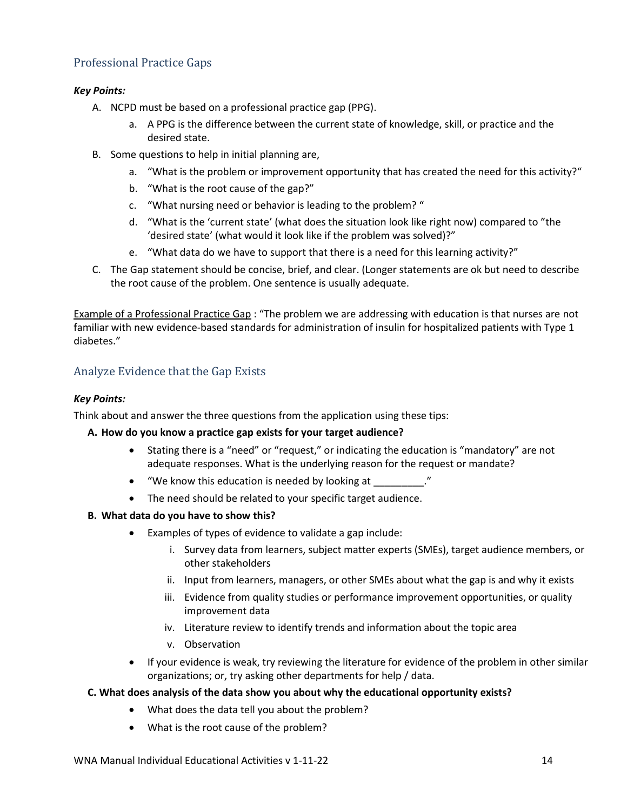# <span id="page-13-0"></span>Professional Practice Gaps

#### *Key Points:*

- A. NCPD must be based on a professional practice gap (PPG).
	- a. A PPG is the difference between the current state of knowledge, skill, or practice and the desired state.
- B. Some questions to help in initial planning are,
	- a. "What is the problem or improvement opportunity that has created the need for this activity?"
	- b. "What is the root cause of the gap?"
	- c. "What nursing need or behavior is leading to the problem? "
	- d. "What is the 'current state' (what does the situation look like right now) compared to "the 'desired state' (what would it look like if the problem was solved)?"
	- e. "What data do we have to support that there is a need for this learning activity?"
- C. The Gap statement should be concise, brief, and clear. (Longer statements are ok but need to describe the root cause of the problem. One sentence is usually adequate.

Example of a Professional Practice Gap : "The problem we are addressing with education is that nurses are not familiar with new evidence-based standards for administration of insulin for hospitalized patients with Type 1 diabetes."

# <span id="page-13-1"></span>Analyze Evidence that the Gap Exists

#### *Key Points:*

Think about and answer the three questions from the application using these tips:

#### **A. How do you know a practice gap exists for your target audience?**

- Stating there is a "need" or "request," or indicating the education is "mandatory" are not adequate responses. What is the underlying reason for the request or mandate?
- "We know this education is needed by looking at \_\_\_\_\_\_\_\_\_."
- The need should be related to your specific target audience.

#### **B. What data do you have to show this?**

- Examples of types of evidence to validate a gap include:
	- i. Survey data from learners, subject matter experts (SMEs), target audience members, or other stakeholders
	- ii. Input from learners, managers, or other SMEs about what the gap is and why it exists
	- iii. Evidence from quality studies or performance improvement opportunities, or quality improvement data
	- iv. Literature review to identify trends and information about the topic area
	- v. Observation
- If your evidence is weak, try reviewing the literature for evidence of the problem in other similar organizations; or, try asking other departments for help / data.

#### **C. What does analysis of the data show you about why the educational opportunity exists?**

- What does the data tell you about the problem?
- What is the root cause of the problem?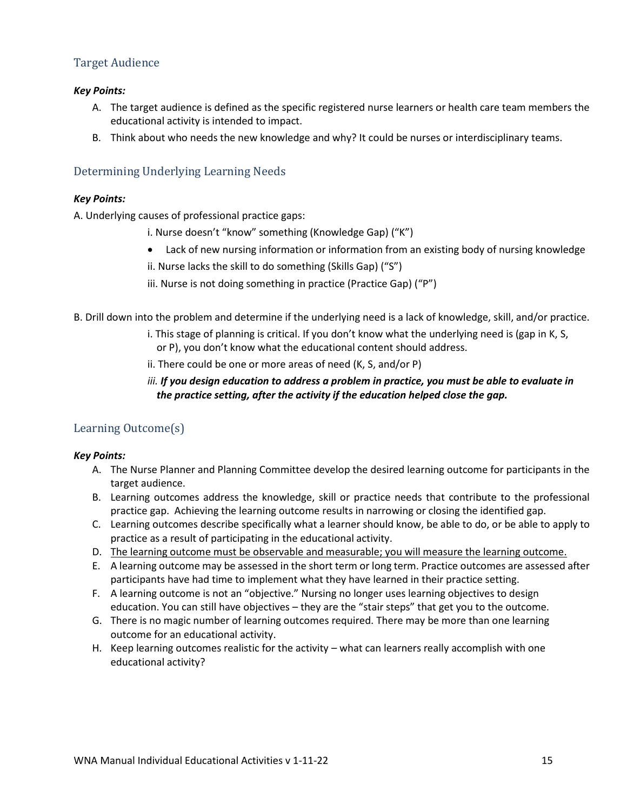# <span id="page-14-0"></span>Target Audience

#### *Key Points:*

- A. The target audience is defined as the specific registered nurse learners or health care team members the educational activity is intended to impact.
- B. Think about who needs the new knowledge and why? It could be nurses or interdisciplinary teams.

## <span id="page-14-1"></span>Determining Underlying Learning Needs

#### *Key Points:*

A. Underlying causes of professional practice gaps:

- i. Nurse doesn't "know" something (Knowledge Gap) ("K")
- Lack of new nursing information or information from an existing body of nursing knowledge
- ii. Nurse lacks the skill to do something (Skills Gap) ("S")
- iii. Nurse is not doing something in practice (Practice Gap) ("P")
- B. Drill down into the problem and determine if the underlying need is a lack of knowledge, skill, and/or practice.
	- i. This stage of planning is critical. If you don't know what the underlying need is (gap in K, S, or P), you don't know what the educational content should address.
	- ii. There could be one or more areas of need (K, S, and/or P)

## *iii. If you design education to address a problem in practice, you must be able to evaluate in the practice setting, after the activity if the education helped close the gap.*

# <span id="page-14-2"></span>Learning Outcome(s)

- A. The Nurse Planner and Planning Committee develop the desired learning outcome for participants in the target audience.
- B. Learning outcomes address the knowledge, skill or practice needs that contribute to the professional practice gap. Achieving the learning outcome results in narrowing or closing the identified gap.
- C. Learning outcomes describe specifically what a learner should know, be able to do, or be able to apply to practice as a result of participating in the educational activity.
- D. The learning outcome must be observable and measurable; you will measure the learning outcome.
- E. A learning outcome may be assessed in the short term or long term. Practice outcomes are assessed after participants have had time to implement what they have learned in their practice setting.
- F. A learning outcome is not an "objective." Nursing no longer uses learning objectives to design education. You can still have objectives – they are the "stair steps" that get you to the outcome.
- G. There is no magic number of learning outcomes required. There may be more than one learning outcome for an educational activity.
- H. Keep learning outcomes realistic for the activity what can learners really accomplish with one educational activity?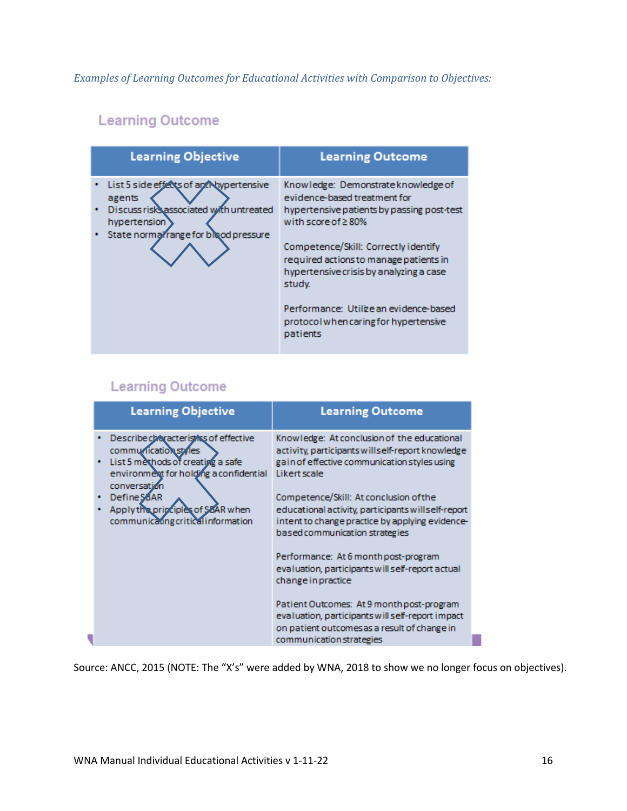*Examples of Learning Outcomes for Educational Activities with Comparison to Objectives:*

# **Learning Outcome**

| <b>Learning Objective</b>                                                                                                                             | <b>Learning Outcome</b>                                                                                                                                                                                                                                                                                                                                                             |
|-------------------------------------------------------------------------------------------------------------------------------------------------------|-------------------------------------------------------------------------------------------------------------------------------------------------------------------------------------------------------------------------------------------------------------------------------------------------------------------------------------------------------------------------------------|
| List 5 side effects of an Ahypertensive<br>agents<br>Discuss risks associated with untreated<br>hypertension<br>State normal range for blood pressure | Knowledge: Demonstrate knowledge of<br>evidence-based treatment for<br>hypertensive patients by passing post-test<br>with score of $\geq$ 80%<br>Competence/Skill: Correctly identify<br>required actions to manage patients in<br>hypertensive crisis by analyzing a case<br>study.<br>Performance: Utilize an evidence-based<br>protocol when caring for hypertensive<br>patients |

# **Learning Outcome**

| <b>Learning Objective</b>                                                                                                                                    | <b>Learning Outcome</b>                                                                                                                                                            |
|--------------------------------------------------------------------------------------------------------------------------------------------------------------|------------------------------------------------------------------------------------------------------------------------------------------------------------------------------------|
| Describe characterist is of effective<br>communication styles<br>List 5 methods of creating a safe<br>environment for holding a confidential<br>conversation | Knowledge: At conclusion of the educational<br>activity, participants will self-report knowledge<br>gain of effective communication styles using<br>Likert scale                   |
| Define SBAR<br>Apply the principles of SoAR when<br>communicating critical information                                                                       | Competence/Skill: At conclusion of the<br>educational activity, participants will self-report<br>intent to change practice by applying evidence-<br>based communication strategies |
|                                                                                                                                                              | Performance: At 6 month post-program<br>evaluation, participants will self-report actual<br>change in practice                                                                     |
|                                                                                                                                                              | Patient Outcomes: At 9 month post-program<br>evaluation, participants will self-report impact<br>on patient outcomesas a result of change in<br>communication strategies           |

Source: ANCC, 2015 (NOTE: The "X's" were added by WNA, 2018 to show we no longer focus on objectives).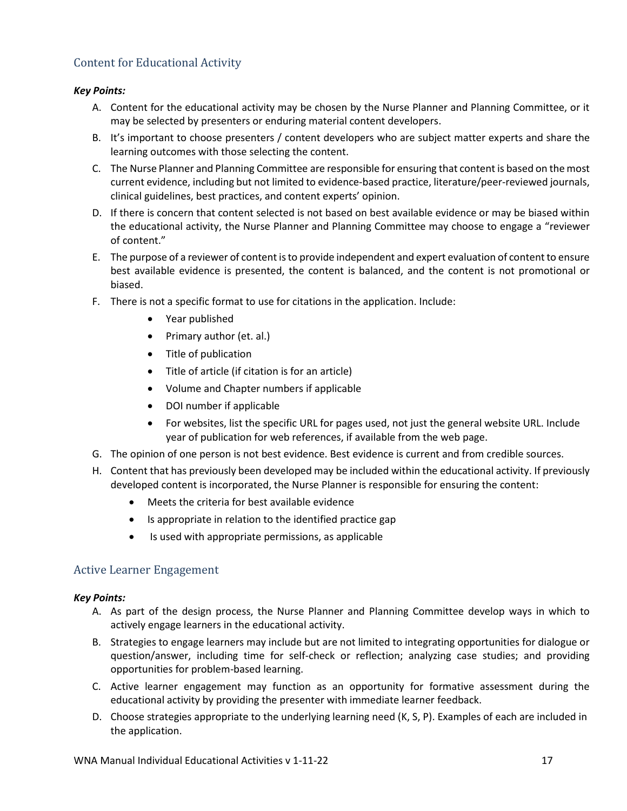# <span id="page-16-0"></span>Content for Educational Activity

#### *Key Points:*

- A. Content for the educational activity may be chosen by the Nurse Planner and Planning Committee, or it may be selected by presenters or enduring material content developers.
- B. It's important to choose presenters / content developers who are subject matter experts and share the learning outcomes with those selecting the content.
- C. The Nurse Planner and Planning Committee are responsible for ensuring that content is based on the most current evidence, including but not limited to evidence-based practice, literature/peer-reviewed journals, clinical guidelines, best practices, and content experts' opinion.
- D. If there is concern that content selected is not based on best available evidence or may be biased within the educational activity, the Nurse Planner and Planning Committee may choose to engage a "reviewer of content."
- E. The purpose of a reviewer of content is to provide independent and expert evaluation of content to ensure best available evidence is presented, the content is balanced, and the content is not promotional or biased.
- F. There is not a specific format to use for citations in the application. Include:
	- Year published
	- Primary author (et. al.)
	- Title of publication
	- Title of article (if citation is for an article)
	- Volume and Chapter numbers if applicable
	- DOI number if applicable
	- For websites, list the specific URL for pages used, not just the general website URL. Include year of publication for web references, if available from the web page.
- G. The opinion of one person is not best evidence. Best evidence is current and from credible sources.
- H. Content that has previously been developed may be included within the educational activity. If previously developed content is incorporated, the Nurse Planner is responsible for ensuring the content:
	- Meets the criteria for best available evidence
	- Is appropriate in relation to the identified practice gap
	- Is used with appropriate permissions, as applicable

# <span id="page-16-1"></span>Active Learner Engagement

- A. As part of the design process, the Nurse Planner and Planning Committee develop ways in which to actively engage learners in the educational activity.
- B. Strategies to engage learners may include but are not limited to integrating opportunities for dialogue or question/answer, including time for self-check or reflection; analyzing case studies; and providing opportunities for problem-based learning.
- C. Active learner engagement may function as an opportunity for formative assessment during the educational activity by providing the presenter with immediate learner feedback.
- D. Choose strategies appropriate to the underlying learning need (K, S, P). Examples of each are included in the application.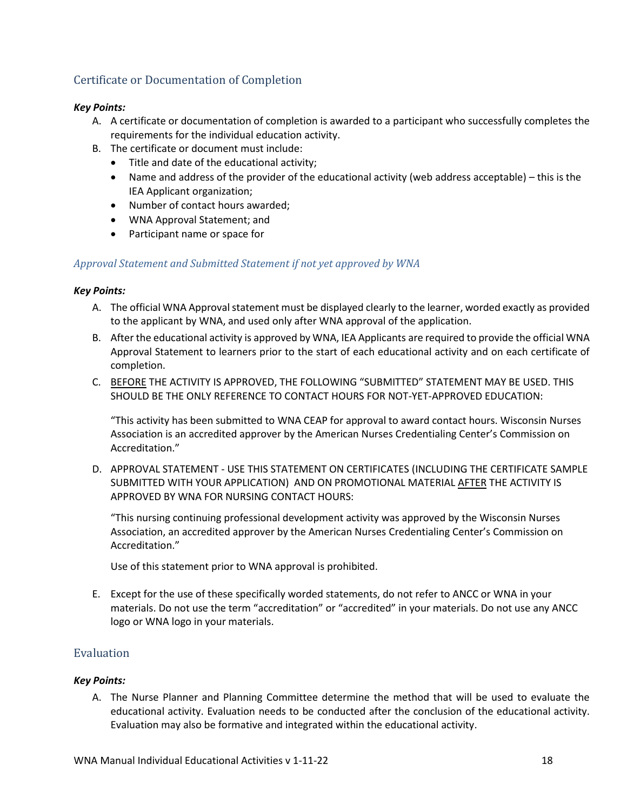# <span id="page-17-0"></span>Certificate or Documentation of Completion

#### *Key Points:*

- A. A certificate or documentation of completion is awarded to a participant who successfully completes the requirements for the individual education activity.
- B. The certificate or document must include:
	- Title and date of the educational activity;
	- Name and address of the provider of the educational activity (web address acceptable) this is the IEA Applicant organization;
	- Number of contact hours awarded;
	- WNA Approval Statement; and
	- Participant name or space for

#### *Approval Statement and Submitted Statement if not yet approved by WNA*

#### *Key Points:*

- A. The official WNA Approval statement must be displayed clearly to the learner, worded exactly as provided to the applicant by WNA, and used only after WNA approval of the application.
- B. After the educational activity is approved by WNA, IEA Applicants are required to provide the official WNA Approval Statement to learners prior to the start of each educational activity and on each certificate of completion.
- C. BEFORE THE ACTIVITY IS APPROVED, THE FOLLOWING "SUBMITTED" STATEMENT MAY BE USED. THIS SHOULD BE THE ONLY REFERENCE TO CONTACT HOURS FOR NOT-YET-APPROVED EDUCATION:

"This activity has been submitted to WNA CEAP for approval to award contact hours. Wisconsin Nurses Association is an accredited approver by the American Nurses Credentialing Center's Commission on Accreditation."

D. APPROVAL STATEMENT - USE THIS STATEMENT ON CERTIFICATES (INCLUDING THE CERTIFICATE SAMPLE SUBMITTED WITH YOUR APPLICATION) AND ON PROMOTIONAL MATERIAL AFTER THE ACTIVITY IS APPROVED BY WNA FOR NURSING CONTACT HOURS:

"This nursing continuing professional development activity was approved by the Wisconsin Nurses Association, an accredited approver by the American Nurses Credentialing Center's Commission on Accreditation."

Use of this statement prior to WNA approval is prohibited.

E. Except for the use of these specifically worded statements, do not refer to ANCC or WNA in your materials. Do not use the term "accreditation" or "accredited" in your materials. Do not use any ANCC logo or WNA logo in your materials.

# <span id="page-17-1"></span>Evaluation

#### *Key Points:*

A. The Nurse Planner and Planning Committee determine the method that will be used to evaluate the educational activity. Evaluation needs to be conducted after the conclusion of the educational activity. Evaluation may also be formative and integrated within the educational activity.